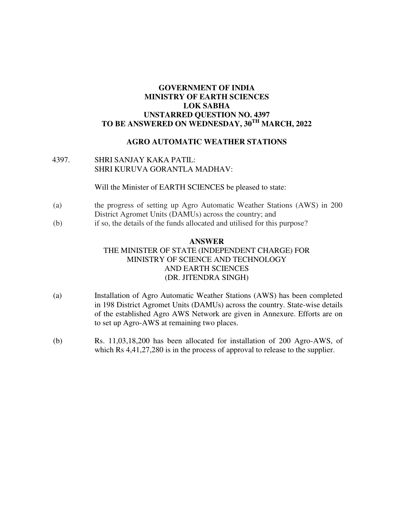## **GOVERNMENT OF INDIA MINISTRY OF EARTH SCIENCES LOK SABHA UNSTARRED QUESTION NO. 4397 TO BE ANSWERED ON WEDNESDAY, 30TH MARCH, 2022**

# **AGRO AUTOMATIC WEATHER STATIONS**

## 4397. SHRI SANJAY KAKA PATIL: SHRI KURUVA GORANTLA MADHAV:

Will the Minister of EARTH SCIENCES be pleased to state:

- (a) the progress of setting up Agro Automatic Weather Stations (AWS) in 200 District Agromet Units (DAMUs) across the country; and
- (b) if so, the details of the funds allocated and utilised for this purpose?

# **ANSWER**  THE MINISTER OF STATE (INDEPENDENT CHARGE) FOR MINISTRY OF SCIENCE AND TECHNOLOGY AND EARTH SCIENCES (DR. JITENDRA SINGH)

- (a) Installation of Agro Automatic Weather Stations (AWS) has been completed in 198 District Agromet Units (DAMUs) across the country. State-wise details of the established Agro AWS Network are given in Annexure. Efforts are on to set up Agro-AWS at remaining two places.
- (b) Rs. 11,03,18,200 has been allocated for installation of 200 Agro-AWS, of which Rs  $4,41,27,280$  is in the process of approval to release to the supplier.